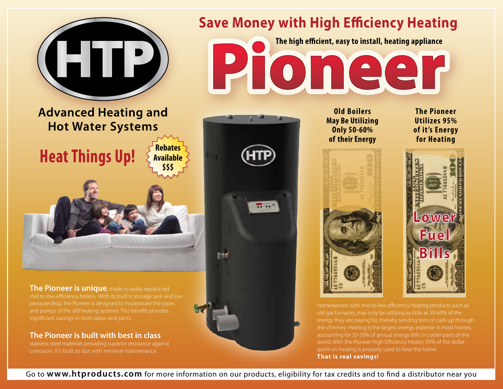

mid to low-efficiency boilers. With its built in storage tank and low and pumps of the old heating systems. This benefit provides significant savings in both labor and parts.

**The Pioneer is built with best in class** stainless steel materials providing superior resistance against corrosion. It's built to last with minimal maintenance.

.

.

Homeowners with mid to low efficiency heating products such as old gas furnaces, may only be utilizing as little as 50-60% of the energy they are paying for, thereby sending tons of cash up through the chimney. Heating is the largest energy expense in most homes, accounting for 35-50% of annual energy bills in colder parts of the spent on heating is properly used to heat the home. **That is real savings!**